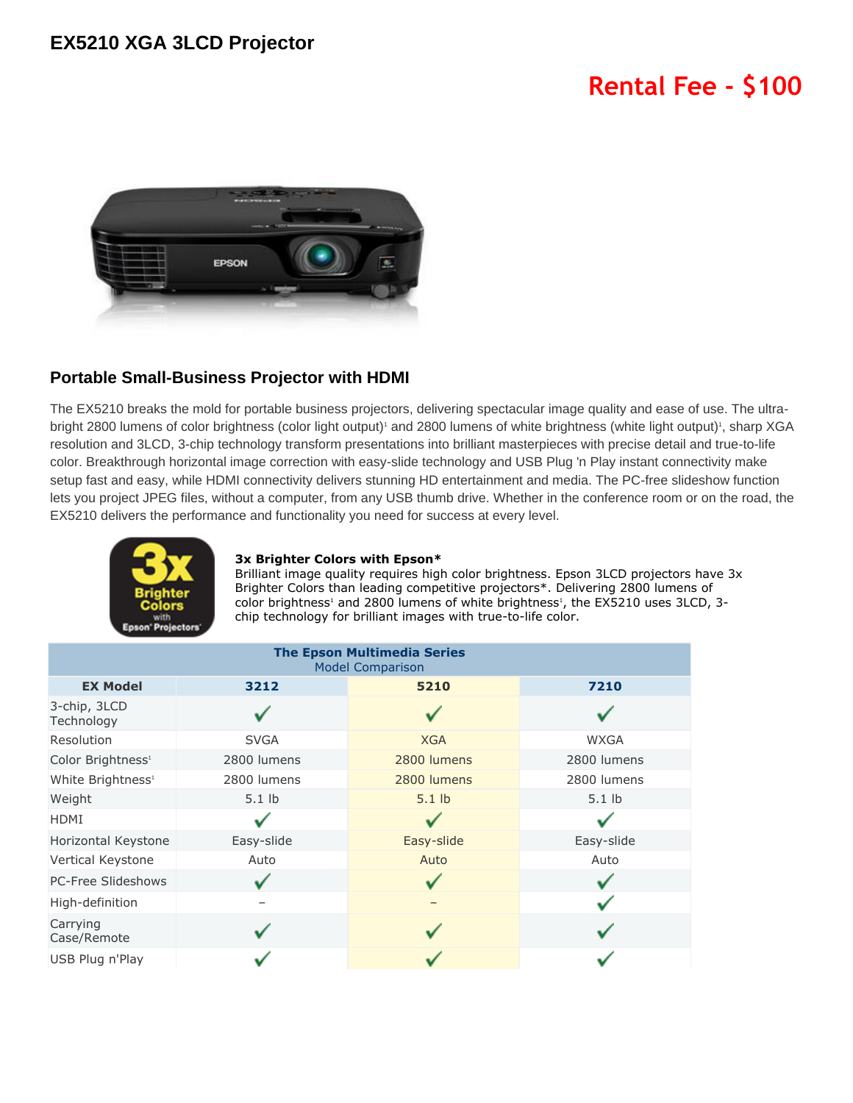## **EX5210 XGA 3LCD Projector**

# **Rental Fee - \$100**



### **Portable Small-Business Projector with HDMI**

The EX5210 breaks the mold for portable business projectors, delivering spectacular image quality and ease of use. The ultrabright 2800 lumens of color brightness (color light output)<sup>1</sup> and 2800 lumens of white brightness (white light output)<sup>1</sup>, sharp XGA resolution and 3LCD, 3-chip technology transform presentations into brilliant masterpieces with precise detail and true-to-life color. Breakthrough horizontal image correction with easy-slide technology and USB Plug 'n Play instant connectivity make setup fast and easy, while HDMI connectivity delivers stunning HD entertainment and media. The PC-free slideshow function lets you project JPEG files, without a computer, from any USB thumb drive. Whether in the conference room or on the road, the EX5210 delivers the performance and functionality you need for success at every level.



#### **3x Brighter Colors with Epson\***

Brilliant image quality requires high color brightness. Epson 3LCD projectors have 3x Brighter Colors than leading competitive projectors\*. Delivering 2800 lumens of color brightness<sup>1</sup> and 2800 lumens of white brightness<sup>1</sup>, the EX5210 uses 3LCD, 3chip technology for brilliant images with true-to-life color.

| <b>The Epson Multimedia Series</b><br><b>Model Comparison</b> |             |             |             |
|---------------------------------------------------------------|-------------|-------------|-------------|
| <b>EX Model</b>                                               | 3212        | 5210        | 7210        |
| 3-chip, 3LCD<br>Technology                                    |             |             |             |
| Resolution                                                    | <b>SVGA</b> | <b>XGA</b>  | <b>WXGA</b> |
| Color Brightness <sup>1</sup>                                 | 2800 lumens | 2800 lumens | 2800 lumens |
| White Brightness <sup>1</sup>                                 | 2800 lumens | 2800 lumens | 2800 lumens |
| Weight                                                        | $5.1$ lb    | $5.1$ lb    | $5.1$ lb    |
| <b>HDMI</b>                                                   |             |             |             |
| Horizontal Keystone                                           | Easy-slide  | Easy-slide  | Easy-slide  |
| Vertical Keystone                                             | Auto        | Auto        | Auto        |
| PC-Free Slideshows                                            |             |             |             |
| High-definition                                               |             |             |             |
| Carrying<br>Case/Remote                                       |             |             |             |
| USB Plug n'Play                                               |             |             |             |